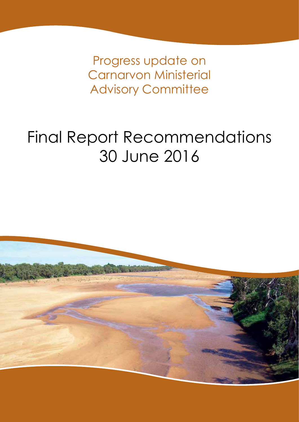Progress update on Carnarvon Ministerial **Advisory Committee** 

# Final Report Recommendations 30 June 2016

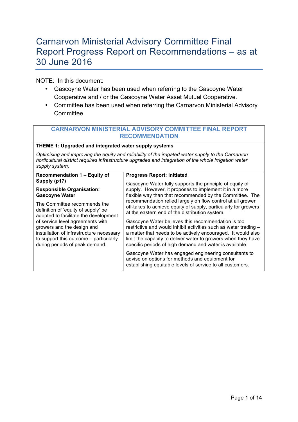### Carnarvon Ministerial Advisory Committee Final Report Progress Report on Recommendations – as at 30 June 2016

NOTE: In this document:

- Gascoyne Water has been used when referring to the Gascoyne Water Cooperative and / or the Gascoyne Water Asset Mutual Cooperative.
- Committee has been used when referring the Carnarvon Ministerial Advisory **Committee**

#### **CARNARVON MINISTERIAL ADVISORY COMMITTEE FINAL REPORT RECOMMENDATION**

#### **THEME 1: Upgraded and integrated water supply systems**

*Optimising and improving the equity and reliability of the irrigated water supply to the Carnarvon horticultural district requires infrastructure upgrades and integration of the whole irrigation water supply system.*

| Recommendation 1 - Equity of             | <b>Progress Report: Initiated</b>                                                                                                                                      |
|------------------------------------------|------------------------------------------------------------------------------------------------------------------------------------------------------------------------|
| Supply (p17)                             | Gascoyne Water fully supports the principle of equity of                                                                                                               |
| <b>Responsible Organisation:</b>         | supply. However, it proposes to implement it in a more                                                                                                                 |
| <b>Gascoyne Water</b>                    | flexible way than that recommended by the Committee. The                                                                                                               |
| The Committee recommends the             | recommendation relied largely on flow control at all grower                                                                                                            |
| definition of 'equity of supply' be      | off-takes to achieve equity of supply, particularly for growers                                                                                                        |
| adopted to facilitate the development    | at the eastern end of the distribution system.                                                                                                                         |
| of service level agreements with         | Gascoyne Water believes this recommendation is too                                                                                                                     |
| growers and the design and               | restrictive and would inhibit activities such as water trading -                                                                                                       |
| installation of infrastructure necessary | a matter that needs to be actively encouraged. It would also                                                                                                           |
| to support this outcome – particularly   | limit the capacity to deliver water to growers when they have                                                                                                          |
| during periods of peak demand.           | specific periods of high demand and water is available.                                                                                                                |
|                                          | Gascoyne Water has engaged engineering consultants to<br>advise on options for methods and equipment for<br>establishing equitable levels of service to all customers. |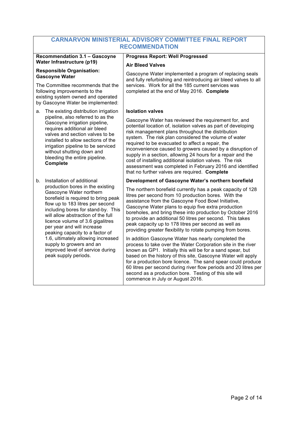| CARNARVON MINISTERIAL ADVISORY COMMITTEE FINAL REPORT                                                                                                                                                                                                                                                                                                                                                                                                 |                                                                                                                                                                                                                                                                                                                                                                                                                                                                                                                                                                                             |  |
|-------------------------------------------------------------------------------------------------------------------------------------------------------------------------------------------------------------------------------------------------------------------------------------------------------------------------------------------------------------------------------------------------------------------------------------------------------|---------------------------------------------------------------------------------------------------------------------------------------------------------------------------------------------------------------------------------------------------------------------------------------------------------------------------------------------------------------------------------------------------------------------------------------------------------------------------------------------------------------------------------------------------------------------------------------------|--|
| <b>RECOMMENDATION</b>                                                                                                                                                                                                                                                                                                                                                                                                                                 |                                                                                                                                                                                                                                                                                                                                                                                                                                                                                                                                                                                             |  |
| <b>Recommendation 3.1 - Gascoyne</b><br>Water Infrastructure (p19)                                                                                                                                                                                                                                                                                                                                                                                    | <b>Progress Report: Well Progressed</b>                                                                                                                                                                                                                                                                                                                                                                                                                                                                                                                                                     |  |
| <b>Responsible Organisation:</b><br><b>Gascoyne Water</b>                                                                                                                                                                                                                                                                                                                                                                                             | <b>Air Bleed Valves</b><br>Gascoyne Water implemented a program of replacing seals<br>and fully refurbishing and reintroducing air bleed valves to all                                                                                                                                                                                                                                                                                                                                                                                                                                      |  |
| The Committee recommends that the<br>following improvements to the<br>existing system owned and operated<br>by Gascoyne Water be implemented:                                                                                                                                                                                                                                                                                                         | services. Work for all the 185 current services was<br>completed at the end of May 2016. Complete                                                                                                                                                                                                                                                                                                                                                                                                                                                                                           |  |
| The existing distribution irrigation<br>a.                                                                                                                                                                                                                                                                                                                                                                                                            | <b>Isolation valves</b>                                                                                                                                                                                                                                                                                                                                                                                                                                                                                                                                                                     |  |
| pipeline, also referred to as the<br>Gascoyne irrigation pipeline,<br>requires additional air bleed<br>valves and section valves to be<br>installed to allow sections of the<br>irrigation pipeline to be serviced<br>without shutting down and<br>bleeding the entire pipeline.<br>Complete                                                                                                                                                          | Gascoyne Water has reviewed the requirement for, and<br>potential location of, isolation valves as part of developing<br>risk management plans throughout the distribution<br>system. The risk plan considered the volume of water<br>required to be evacuated to affect a repair, the<br>inconvenience caused to growers caused by a disruption of<br>supply in a section, allowing 24 hours for a repair and the<br>cost of installing additional isolation valves. The risk<br>assessment was completed in February 2016 and identified<br>that no further valves are required. Complete |  |
| Installation of additional<br>b.                                                                                                                                                                                                                                                                                                                                                                                                                      | Development of Gascoyne Water's northern borefield                                                                                                                                                                                                                                                                                                                                                                                                                                                                                                                                          |  |
| production bores in the existing<br>Gascoyne Water northern<br>borefield is required to bring peak<br>flow up to 183 litres per second<br>including bores for stand-by. This<br>will allow abstraction of the full<br>licence volume of 3.6 gigalitres<br>per year and will increase<br>peaking capacity to a factor of<br>1.6, ultimately allowing increased<br>supply to growers and an<br>improved level of service during<br>peak supply periods. | The northern borefield currently has a peak capacity of 128<br>litres per second from 10 production bores. With the<br>assistance from the Gascoyne Food Bowl Initiative,<br>Gascoyne Water plans to equip five extra production<br>boreholes, and bring these into production by October 2016<br>to provide an additional 50 litres per second. This takes<br>peak capacity up to 178 litres per second as well as<br>providing greater flexibility to rotate pumping from bores.                                                                                                          |  |
|                                                                                                                                                                                                                                                                                                                                                                                                                                                       | In addition Gascoyne Water has nearly completed the<br>process to take over the Water Corporation site in the river<br>known as GP1. Initially this will be for a sand spear, but<br>based on the history of this site, Gascoyne Water will apply<br>for a production bore licence. The sand spear could produce<br>60 litres per second during river flow periods and 20 litres per<br>second as a production bore. Testing of this site will<br>commence in July or August 2016.                                                                                                          |  |

## **CARNARVON MINISTERIAL ADVISORY COMMITTEE FINAL REPORT**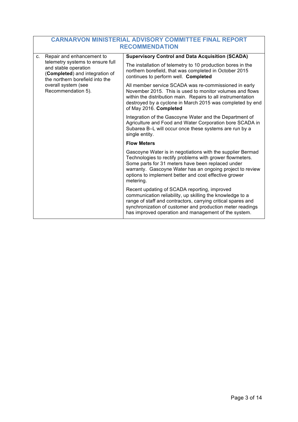|                                                                                                                                                                            | <b>CARNARVON MINISTERIAL ADVISORY COMMITTEE FINAL REPORT</b><br><b>RECOMMENDATION</b>                                                                                                                                                                                                                          |                                                                                                                                                                                                                                                                                                |  |
|----------------------------------------------------------------------------------------------------------------------------------------------------------------------------|----------------------------------------------------------------------------------------------------------------------------------------------------------------------------------------------------------------------------------------------------------------------------------------------------------------|------------------------------------------------------------------------------------------------------------------------------------------------------------------------------------------------------------------------------------------------------------------------------------------------|--|
| Repair and enhancement to<br>C <sub>1</sub>                                                                                                                                | <b>Supervisory Control and Data Acquisition (SCADA)</b>                                                                                                                                                                                                                                                        |                                                                                                                                                                                                                                                                                                |  |
| telemetry systems to ensure full<br>and stable operation<br>(Completed) and integration of<br>the northern borefield into the<br>overall system (see<br>Recommendation 5). | The installation of telemetry to 10 production bores in the<br>northern borefield, that was completed in October 2015<br>continues to perform well. Completed                                                                                                                                                  |                                                                                                                                                                                                                                                                                                |  |
|                                                                                                                                                                            | All member service SCADA was re-commissioned in early<br>November 2015. This is used to monitor volumes and flows<br>within the distribution main. Repairs to all instrumentation<br>destroyed by a cyclone in March 2015 was completed by end<br>of May 2016. Completed                                       |                                                                                                                                                                                                                                                                                                |  |
|                                                                                                                                                                            |                                                                                                                                                                                                                                                                                                                | Integration of the Gascoyne Water and the Department of<br>Agriculture and Food and Water Corporation bore SCADA in<br>Subarea B-L will occur once these systems are run by a<br>single entity.                                                                                                |  |
|                                                                                                                                                                            |                                                                                                                                                                                                                                                                                                                | <b>Flow Meters</b>                                                                                                                                                                                                                                                                             |  |
|                                                                                                                                                                            | Gascoyne Water is in negotiations with the supplier Bermad<br>Technologies to rectify problems with grower flowmeters.<br>Some parts for 31 meters have been replaced under<br>warranty. Gascoyne Water has an ongoing project to review<br>options to implement better and cost effective grower<br>metering. |                                                                                                                                                                                                                                                                                                |  |
|                                                                                                                                                                            |                                                                                                                                                                                                                                                                                                                | Recent updating of SCADA reporting, improved<br>communication reliability, up skilling the knowledge to a<br>range of staff and contractors, carrying critical spares and<br>synchronization of customer and production meter readings<br>has improved operation and management of the system. |  |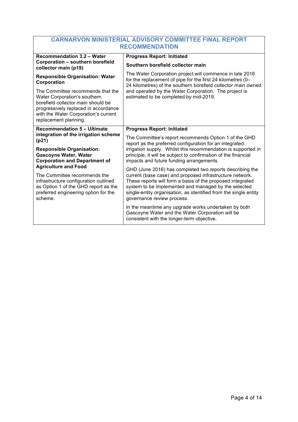| <b>CARNARVON MINISTERIAL ADVISORY COMMITTEE FINAL REPORT</b>                                                                                                                                                     |                                                                                                                                                                                                                                                                                                                                              |  |
|------------------------------------------------------------------------------------------------------------------------------------------------------------------------------------------------------------------|----------------------------------------------------------------------------------------------------------------------------------------------------------------------------------------------------------------------------------------------------------------------------------------------------------------------------------------------|--|
| <b>RECOMMENDATION</b>                                                                                                                                                                                            |                                                                                                                                                                                                                                                                                                                                              |  |
| <b>Recommendation 3.2 - Water</b>                                                                                                                                                                                | <b>Progress Report: Initiated</b>                                                                                                                                                                                                                                                                                                            |  |
| Corporation - southern borefield<br>collector main (p19)                                                                                                                                                         | Southern borefield collector main                                                                                                                                                                                                                                                                                                            |  |
| <b>Responsible Organisation: Water</b><br>Corporation                                                                                                                                                            | The Water Corporation project will commence in late 2016<br>for the replacement of pipe for the first 24 kilometres (0-<br>24 kilometres) of the southern borefield collector main owned                                                                                                                                                     |  |
| The Committee recommends that the<br>Water Corporation's southern<br>borefield collector main should be<br>progressively replaced in accordance<br>with the Water Corporation's current<br>replacement planning. | and operated by the Water Corporation. The project is<br>estimated to be completed by mid-2019.                                                                                                                                                                                                                                              |  |
| <b>Recommendation 5 - Ultimate</b>                                                                                                                                                                               | <b>Progress Report: Initiated</b>                                                                                                                                                                                                                                                                                                            |  |
| integration of the irrigation scheme<br>(p21)                                                                                                                                                                    | The Committee's report recommends Option 1 of the GHD<br>report as the preferred configuration for an integrated                                                                                                                                                                                                                             |  |
| <b>Responsible Organisation:</b><br><b>Gascoyne Water, Water</b><br><b>Corporation and Department of</b>                                                                                                         | irrigation supply. Whilst this recommendation is supported in<br>principle, it will be subject to confirmation of the financial<br>impacts and future funding arrangements.                                                                                                                                                                  |  |
| <b>Agriculture and Food</b><br>The Committee recommends the<br>infrastructure configuration outlined<br>as Option 1 of the GHD report as the<br>preferred engineering option for the<br>scheme.                  | GHD (June 2016) has completed two reports describing the<br>current (base case) and proposed infrastructure network.<br>These reports will form a basis of the proposed integrated<br>system to be implemented and managed by the selected<br>single-entity organisation, as identified from the single entity<br>governance review process. |  |
|                                                                                                                                                                                                                  | In the meantime any upgrade works undertaken by both<br>Gascoyne Water and the Water Corporation will be<br>consistent with the longer-term objective.                                                                                                                                                                                       |  |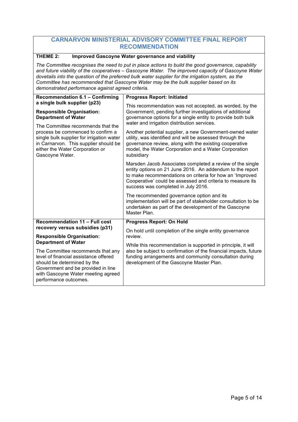#### **THEME 2: Improved Gascoyne Water governance and viability**

*The Committee recognises the need to put in place actions to build the good governance, capability and future viability of the cooperatives – Gascoyne Water. The improved capacity of Gascoyne Water dovetails into the question of the preferred bulk water supplier for the irrigation system, as the Committee has recommended that Gascoyne Water may be the bulk supplier based on its demonstrated performance against agreed criteria.* 

| Recommendation 6.1 - Confirming                                                                                                                                                                                    | <b>Progress Report: Initiated</b>                                                                                                                                                                                                                                                       |
|--------------------------------------------------------------------------------------------------------------------------------------------------------------------------------------------------------------------|-----------------------------------------------------------------------------------------------------------------------------------------------------------------------------------------------------------------------------------------------------------------------------------------|
| a single bulk supplier (p23)<br><b>Responsible Organisation:</b><br><b>Department of Water</b>                                                                                                                     | This recommendation was not accepted, as worded, by the<br>Government, pending further investigations of additional<br>governance options for a single entity to provide both bulk<br>water and irrigation distribution services.                                                       |
| The Committee recommends that the<br>process be commenced to confirm a<br>single bulk supplier for irrigation water<br>in Carnarvon. This supplier should be<br>either the Water Corporation or<br>Gascoyne Water. | Another potential supplier, a new Government-owned water<br>utility, was identified and will be assessed through the<br>governance review, along with the existing cooperative<br>model, the Water Corporation and a Water Corporation<br>subsidiary                                    |
|                                                                                                                                                                                                                    | Marsden Jacob Associates completed a review of the single<br>entity options on 21 June 2016. An addendum to the report<br>to make recommendations on criteria for how an 'Improved<br>Cooperative' could be assessed and criteria to measure its<br>success was completed in July 2016. |
|                                                                                                                                                                                                                    | The recommended governance option and its<br>implementation will be part of stakeholder consultation to be<br>undertaken as part of the development of the Gascoyne<br>Master Plan.                                                                                                     |
| Recommendation 11 - Full cost                                                                                                                                                                                      | <b>Progress Report: On Hold</b>                                                                                                                                                                                                                                                         |
| recovery versus subsidies (p31)<br><b>Responsible Organisation:</b>                                                                                                                                                | On hold until completion of the single entity governance<br>review.                                                                                                                                                                                                                     |
| <b>Department of Water</b>                                                                                                                                                                                         | While this recommendation is supported in principle, it will                                                                                                                                                                                                                            |
| The Committee recommends that any<br>level of financial assistance offered<br>should be determined by the<br>Government and be provided in line<br>with Gascoyne Water meeting agreed<br>performance outcomes.     | also be subject to confirmation of the financial impacts, future<br>funding arrangements and community consultation during<br>development of the Gascoyne Master Plan.                                                                                                                  |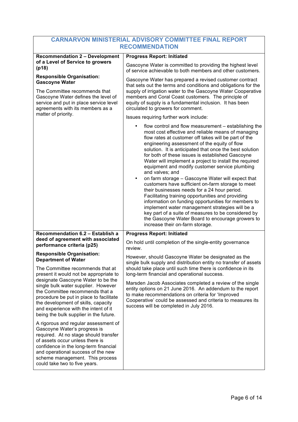| <b>Recommendation 2 - Development</b>                                                                                                                                                                                                                                                                                                                          | <b>Progress Report: Initiated</b>                                                                                                                                                                                                                                                                                                                                                                                                                                                                                                                                                                                                                                                                                                                                                                                                                                                                                                                    |
|----------------------------------------------------------------------------------------------------------------------------------------------------------------------------------------------------------------------------------------------------------------------------------------------------------------------------------------------------------------|------------------------------------------------------------------------------------------------------------------------------------------------------------------------------------------------------------------------------------------------------------------------------------------------------------------------------------------------------------------------------------------------------------------------------------------------------------------------------------------------------------------------------------------------------------------------------------------------------------------------------------------------------------------------------------------------------------------------------------------------------------------------------------------------------------------------------------------------------------------------------------------------------------------------------------------------------|
| of a Level of Service to growers<br>(p18)                                                                                                                                                                                                                                                                                                                      | Gascoyne Water is committed to providing the highest level<br>of service achievable to both members and other customers.                                                                                                                                                                                                                                                                                                                                                                                                                                                                                                                                                                                                                                                                                                                                                                                                                             |
| <b>Responsible Organisation:</b><br><b>Gascoyne Water</b><br>The Committee recommends that<br>Gascoyne Water defines the level of<br>service and put in place service level<br>agreements with its members as a                                                                                                                                                | Gascoyne Water has prepared a revised customer contract<br>that sets out the terms and conditions and obligations for the<br>supply of irrigation water to the Gascoyne Water Cooperative<br>members and Coral Coast customers. The principle of<br>equity of supply is a fundamental inclusion. It has been<br>circulated to growers for comment.                                                                                                                                                                                                                                                                                                                                                                                                                                                                                                                                                                                                   |
| matter of priority.                                                                                                                                                                                                                                                                                                                                            | Issues requiring further work include:                                                                                                                                                                                                                                                                                                                                                                                                                                                                                                                                                                                                                                                                                                                                                                                                                                                                                                               |
|                                                                                                                                                                                                                                                                                                                                                                | flow control and flow measurement – establishing the<br>most cost effective and reliable means of managing<br>flow rates at customer off takes will be part of the<br>engineering assessment of the equity of flow<br>solution. It is anticipated that once the best solution<br>for both of these issues is established Gascoyne<br>Water will implement a project to install the required<br>equipment and modify customer service plumbing<br>and valves; and<br>on farm storage - Gascoyne Water will expect that<br>$\bullet$<br>customers have sufficient on-farm storage to meet<br>their businesses needs for a 24 hour period.<br>Facilitating training opportunities and providing<br>information on funding opportunities for members to<br>implement water management strategies will be a<br>key part of a suite of measures to be considered by<br>the Gascoyne Water Board to encourage growers to<br>increase their on-farm storage. |
| Recommendation 6.2 - Establish a<br>deed of agreement with associated<br>performance criteria (p25)                                                                                                                                                                                                                                                            | <b>Progress Report: Initiated</b><br>On hold until completion of the single-entity governance                                                                                                                                                                                                                                                                                                                                                                                                                                                                                                                                                                                                                                                                                                                                                                                                                                                        |
| <b>Responsible Organisation:</b><br><b>Department of Water</b>                                                                                                                                                                                                                                                                                                 | review.<br>However, should Gascoyne Water be designated as the<br>single bulk supply and distribution entity no transfer of assets                                                                                                                                                                                                                                                                                                                                                                                                                                                                                                                                                                                                                                                                                                                                                                                                                   |
| The Committee recommends that at<br>present it would not be appropriate to<br>designate Gascoyne Water to be the<br>single bulk water supplier. However<br>the Committee recommends that a<br>procedure be put in place to facilitate<br>the development of skills, capacity<br>and experience with the intent of it<br>being the bulk supplier in the future. | should take place until such time there is confidence in its<br>long-term financial and operational success.                                                                                                                                                                                                                                                                                                                                                                                                                                                                                                                                                                                                                                                                                                                                                                                                                                         |
|                                                                                                                                                                                                                                                                                                                                                                | Marsden Jacob Associates completed a review of the single<br>entity options on 21 June 2016. An addendum to the report<br>to make recommendations on criteria for 'Improved<br>Cooperative' could be assessed and criteria to measures its<br>success will be completed in July 2016.                                                                                                                                                                                                                                                                                                                                                                                                                                                                                                                                                                                                                                                                |
| A rigorous and regular assessment of<br>Gascoyne Water's progress is<br>required. At no stage should transfer<br>of assets occur unless there is<br>confidence in the long-term financial<br>and operational success of the new<br>scheme management. This process<br>could take two to five years.                                                            |                                                                                                                                                                                                                                                                                                                                                                                                                                                                                                                                                                                                                                                                                                                                                                                                                                                                                                                                                      |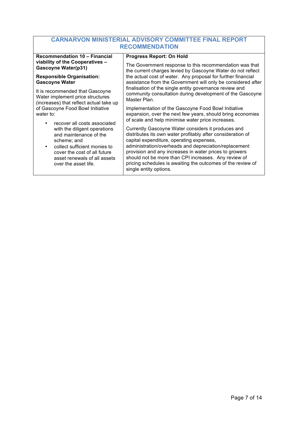| <b>Recommendation 10 - Financial</b>                                                                                                                                                          | <b>Progress Report: On Hold</b>                                                                                                                                                                                                                                                                                                                                                                                                   |
|-----------------------------------------------------------------------------------------------------------------------------------------------------------------------------------------------|-----------------------------------------------------------------------------------------------------------------------------------------------------------------------------------------------------------------------------------------------------------------------------------------------------------------------------------------------------------------------------------------------------------------------------------|
| viability of the Cooperatives -                                                                                                                                                               | The Government response to this recommendation was that                                                                                                                                                                                                                                                                                                                                                                           |
| <b>Gascoyne Water(p31)</b>                                                                                                                                                                    | the current charges levied by Gascoyne Water do not reflect                                                                                                                                                                                                                                                                                                                                                                       |
| <b>Responsible Organisation:</b>                                                                                                                                                              | the actual cost of water. Any proposal for further financial                                                                                                                                                                                                                                                                                                                                                                      |
| <b>Gascoyne Water</b>                                                                                                                                                                         | assistance from the Government will only be considered after                                                                                                                                                                                                                                                                                                                                                                      |
| It is recommended that Gascoyne                                                                                                                                                               | finalisation of the single entity governance review and                                                                                                                                                                                                                                                                                                                                                                           |
| Water implement price structures                                                                                                                                                              | community consultation during development of the Gascoyne                                                                                                                                                                                                                                                                                                                                                                         |
| (increases) that reflect actual take up                                                                                                                                                       | Master Plan.                                                                                                                                                                                                                                                                                                                                                                                                                      |
| of Gascoyne Food Bowl Initiative                                                                                                                                                              | Implementation of the Gascoyne Food Bowl Initiative                                                                                                                                                                                                                                                                                                                                                                               |
| water to:                                                                                                                                                                                     | expansion, over the next few years, should bring economies                                                                                                                                                                                                                                                                                                                                                                        |
| recover all costs associated                                                                                                                                                                  | of scale and help minimise water price increases.                                                                                                                                                                                                                                                                                                                                                                                 |
| with the diligent operations<br>and maintenance of the<br>scheme; and<br>collect sufficient monies to<br>cover the cost of all future<br>asset renewals of all assets<br>over the asset life. | Currently Gascoyne Water considers it produces and<br>distributes its own water profitably after consideration of<br>capital expenditure, operating expenses,<br>administration/overheads and depreciation/replacement<br>provision and any increases in water prices to growers<br>should not be more than CPI increases. Any review of<br>pricing schedules is awaiting the outcomes of the review of<br>single entity options. |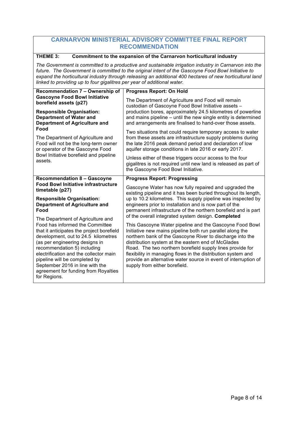#### **THEME 3: Commitment to the expansion of the Carnarvon horticultural industry**

*The Government is committed to a productive and sustainable irrigation industry in Carnarvon into the future. The Government is committed to the original intent of the Gascoyne Food Bowl Initiative to expand the horticultural industry through releasing an additional 400 hectares of new horticultural land linked to providing up to four gigalitres per year of additional water.* 

| Recommendation 7 - Ownership of                                                                                                                                            | <b>Progress Report: On Hold</b>                                                                                                                                                                                                                 |
|----------------------------------------------------------------------------------------------------------------------------------------------------------------------------|-------------------------------------------------------------------------------------------------------------------------------------------------------------------------------------------------------------------------------------------------|
| <b>Gascoyne Food Bowl Initiative</b><br>borefield assets (p27)                                                                                                             | The Department of Agriculture and Food will remain<br>custodian of Gascoyne Food Bowl Initiative assets -                                                                                                                                       |
| <b>Responsible Organisation:</b><br><b>Department of Water and</b><br><b>Department of Agriculture and</b>                                                                 | production bores, approximately 24.5 kilometres of powerline<br>and mains pipeline – until the new single entity is determined<br>and arrangements are finalised to hand-over those assets.                                                     |
| Food<br>The Department of Agriculture and<br>Food will not be the long-term owner<br>or operator of the Gascoyne Food<br>Bowl Initiative borefield and pipeline<br>assets. | Two situations that could require temporary access to water<br>from these assets are infrastructure supply problems during<br>the late 2016 peak demand period and declaration of low<br>aquifer storage conditions in late 2016 or early 2017. |
|                                                                                                                                                                            | Unless either of these triggers occur access to the four<br>gigalitres is not required until new land is released as part of<br>the Gascoyne Food Bowl Initiative.                                                                              |
| <b>Recommendation 8 - Gascoyne</b>                                                                                                                                         | <b>Progress Report: Progressing</b>                                                                                                                                                                                                             |
| <b>Food Bowl Initiative infrastructure</b>                                                                                                                                 | Gascoyne Water has now fully repaired and upgraded the                                                                                                                                                                                          |
| timetable (p27)                                                                                                                                                            | existing pipeline and it has been buried throughout its length,                                                                                                                                                                                 |
| <b>Responsible Organisation:</b><br><b>Department of Agriculture and</b><br>Food<br>The Department of Agriculture and                                                      | up to 10.2 kilometres. This supply pipeline was inspected by<br>engineers prior to installation and is now part of the<br>permanent infrastructure of the northern borefield and is part<br>of the overall integrated system design. Completed  |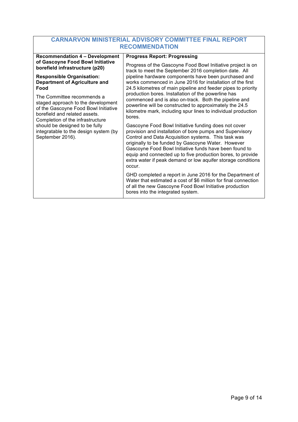| <b>Recommendation 4 - Development</b>                                                                                                                                         | <b>Progress Report: Progressing</b>                                                                                                                                                                                                                                                                                                                                                                                              |
|-------------------------------------------------------------------------------------------------------------------------------------------------------------------------------|----------------------------------------------------------------------------------------------------------------------------------------------------------------------------------------------------------------------------------------------------------------------------------------------------------------------------------------------------------------------------------------------------------------------------------|
| of Gascoyne Food Bowl Initiative<br>borefield infrastructure (p20)                                                                                                            | Progress of the Gascoyne Food Bowl Initiative project is on<br>track to meet the September 2016 completion date. All                                                                                                                                                                                                                                                                                                             |
| <b>Responsible Organisation:</b><br><b>Department of Agriculture and</b><br>Food                                                                                              | pipeline hardware components have been purchased and<br>works commenced in June 2016 for installation of the first<br>24.5 kilometres of main pipeline and feeder pipes to priority                                                                                                                                                                                                                                              |
| The Committee recommends a<br>staged approach to the development<br>of the Gascoyne Food Bowl Initiative<br>borefield and related assets.<br>Completion of the infrastructure | production bores. Installation of the powerline has<br>commenced and is also on-track. Both the pipeline and<br>powerline will be constructed to approximately the 24.5<br>kilometre mark, including spur lines to individual production<br>bores.                                                                                                                                                                               |
| should be designed to be fully<br>integratable to the design system (by<br>September 2016).                                                                                   | Gascoyne Food Bowl Initiative funding does not cover<br>provision and installation of bore pumps and Supervisory<br>Control and Data Acquisition systems. This task was<br>originally to be funded by Gascoyne Water. However<br>Gascoyne Food Bowl Initiative funds have been found to<br>equip and connected up to five production bores, to provide<br>extra water if peak demand or low aquifer storage conditions<br>occur. |
|                                                                                                                                                                               | GHD completed a report in June 2016 for the Department of<br>Water that estimated a cost of \$6 million for final connection<br>of all the new Gascoyne Food Bowl Initiative production<br>bores into the integrated system.                                                                                                                                                                                                     |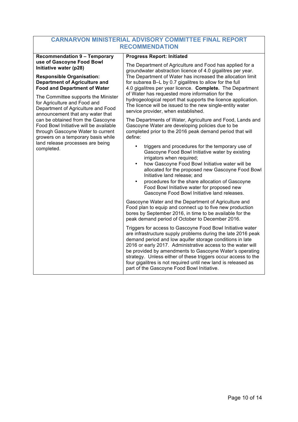| <b>Recommendation 9 - Temporary</b>                                                                                                                                                                                                                                                                                                                       | <b>Progress Report: Initiated</b>                                                                                                                                                                                                                                                                                                                                                                                                                                                                |
|-----------------------------------------------------------------------------------------------------------------------------------------------------------------------------------------------------------------------------------------------------------------------------------------------------------------------------------------------------------|--------------------------------------------------------------------------------------------------------------------------------------------------------------------------------------------------------------------------------------------------------------------------------------------------------------------------------------------------------------------------------------------------------------------------------------------------------------------------------------------------|
| use of Gascoyne Food Bowl<br>Initiative water (p28)                                                                                                                                                                                                                                                                                                       | The Department of Agriculture and Food has applied for a<br>groundwater abstraction licence of 4.0 gigalitres per year.                                                                                                                                                                                                                                                                                                                                                                          |
| <b>Responsible Organisation:</b><br><b>Department of Agriculture and</b><br><b>Food and Department of Water</b>                                                                                                                                                                                                                                           | The Department of Water has increased the allocation limit<br>for subarea B-L by 0.7 gigalitres to allow for the full<br>4.0 gigalitres per year licence. Complete. The Department<br>of Water has requested more information for the<br>hydrogeological report that supports the licence application.<br>The licence will be issued to the new single-entity water<br>service provider, when established.                                                                                       |
| The Committee supports the Minister<br>for Agriculture and Food and<br>Department of Agriculture and Food<br>announcement that any water that<br>can be obtained from the Gascoyne<br>Food Bowl Initiative will be available<br>through Gascoyne Water to current<br>growers on a temporary basis while<br>land release processes are being<br>completed. |                                                                                                                                                                                                                                                                                                                                                                                                                                                                                                  |
|                                                                                                                                                                                                                                                                                                                                                           | The Departments of Water, Agriculture and Food, Lands and<br>Gascoyne Water are developing policies due to be<br>completed prior to the 2016 peak demand period that will<br>define:                                                                                                                                                                                                                                                                                                             |
|                                                                                                                                                                                                                                                                                                                                                           | triggers and procedures for the temporary use of<br>Gascoyne Food Bowl Initiative water by existing<br>irrigators when required;<br>how Gascoyne Food Bowl Initiative water will be<br>$\bullet$<br>allocated for the proposed new Gascoyne Food Bowl<br>Initiative land release; and<br>procedures for the share allocation of Gascoyne<br>Food Bowl Initiative water for proposed new<br>Gascoyne Food Bowl Initiative land releases.                                                          |
|                                                                                                                                                                                                                                                                                                                                                           | Gascoyne Water and the Department of Agriculture and<br>Food plan to equip and connect up to five new production<br>bores by September 2016, in time to be available for the<br>peak demand period of October to December 2016.                                                                                                                                                                                                                                                                  |
|                                                                                                                                                                                                                                                                                                                                                           | Triggers for access to Gascoyne Food Bowl Initiative water<br>are infrastructure supply problems during the late 2016 peak<br>demand period and low aquifer storage conditions in late<br>2016 or early 2017. Administrative access to the water will<br>be provided by amendments to Gascoyne Water's operating<br>strategy. Unless either of these triggers occur access to the<br>four gigalitres is not required until new land is released as<br>part of the Gascoyne Food Bowl Initiative. |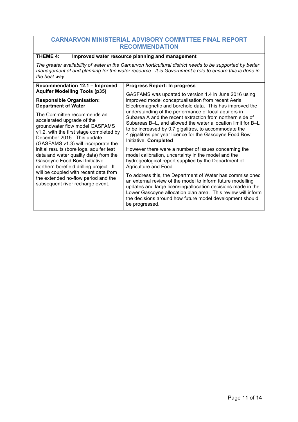#### **THEME 4: Improved water resource planning and management**

*The greater availability of water in the Carnarvon horticultural district needs to be supported by better management of and planning for the water resource. It is Government's role to ensure this is done in the best way.*

| <b>Recommendation 12.1 - Improved</b>                                                                                                                                                                                                                                                                                                                                                                                                                                                            | <b>Progress Report: In progress</b>                                                                                                                                                                                                                                                                                                   |
|--------------------------------------------------------------------------------------------------------------------------------------------------------------------------------------------------------------------------------------------------------------------------------------------------------------------------------------------------------------------------------------------------------------------------------------------------------------------------------------------------|---------------------------------------------------------------------------------------------------------------------------------------------------------------------------------------------------------------------------------------------------------------------------------------------------------------------------------------|
| <b>Aquifer Modelling Tools (p35)</b><br><b>Responsible Organisation:</b><br><b>Department of Water</b>                                                                                                                                                                                                                                                                                                                                                                                           | GASFAMS was updated to version 1.4 in June 2016 using<br>improved model conceptualisation from recent Aerial<br>Electromagnetic and borehole data. This has improved the                                                                                                                                                              |
| The Committee recommends an<br>accelerated upgrade of the<br>groundwater flow model GASFAMS<br>v1.2, with the first stage completed by<br>December 2015. This update<br>(GASFAMS v1.3) will incorporate the<br>initial results (bore logs, aquifer test<br>data and water quality data) from the<br>Gascoyne Food Bowl Initiative<br>northern borefield drilling project. It<br>will be coupled with recent data from<br>the extended no-flow period and the<br>subsequent river recharge event. | understanding of the performance of local aquifers in<br>Subarea A and the recent extraction from northern side of<br>Subareas B–L, and allowed the water allocation limit for B–L<br>to be increased by 0.7 gigalitres, to accommodate the<br>4 gigalitres per year licence for the Gascoyne Food Bowl<br>Initiative. Completed      |
|                                                                                                                                                                                                                                                                                                                                                                                                                                                                                                  | However there were a number of issues concerning the<br>model calibration, uncertainty in the model and the<br>hydrogeological report supplied by the Department of<br>Agriculture and Food.                                                                                                                                          |
|                                                                                                                                                                                                                                                                                                                                                                                                                                                                                                  | To address this, the Department of Water has commissioned<br>an external review of the model to inform future modelling<br>updates and large licensing/allocation decisions made in the<br>Lower Gascoyne allocation plan area. This review will inform<br>the decisions around how future model development should<br>be progressed. |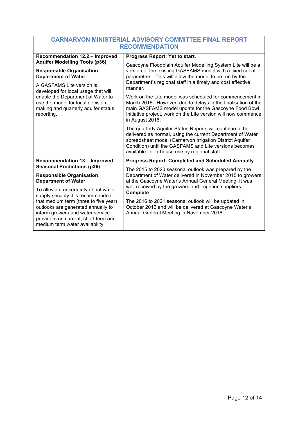| <b>CARNARVON MINISTERIAL ADVISORY COMMITTEE FINAL REPORT</b>                                                                                                                                                                                                                                             |                                                                                                                                                                                                                                                                                               |  |
|----------------------------------------------------------------------------------------------------------------------------------------------------------------------------------------------------------------------------------------------------------------------------------------------------------|-----------------------------------------------------------------------------------------------------------------------------------------------------------------------------------------------------------------------------------------------------------------------------------------------|--|
| <b>RECOMMENDATION</b>                                                                                                                                                                                                                                                                                    |                                                                                                                                                                                                                                                                                               |  |
| <b>Recommendation 12.2 - Improved</b>                                                                                                                                                                                                                                                                    | Progress Report: Yet to start.                                                                                                                                                                                                                                                                |  |
| <b>Aquifer Modelling Tools (p36)</b><br><b>Responsible Organisation:</b><br><b>Department of Water</b><br>A GASFAMS Lite version is<br>developed for local usage that will<br>enable the Department of Water to<br>use the model for local decision<br>making and quarterly aquifer status<br>reporting. | Gascoyne Floodplain Aquifer Modelling System Lite will be a<br>version of the existing GASFAMS model with a fixed set of<br>parameters. This will allow the model to be run by the<br>Department's regional staff in a timely and cost effective<br>manner.                                   |  |
|                                                                                                                                                                                                                                                                                                          | Work on the Lite model was scheduled for commencement in<br>March 2016. However, due to delays in the finalisation of the<br>main GASFAMS model update for the Gascoyne Food Bowl<br>Initiative project, work on the Lite version will now commence<br>in August 2016.                        |  |
|                                                                                                                                                                                                                                                                                                          | The quarterly Aquifer Status Reports will continue to be<br>delivered as normal, using the current Department of Water<br>spreadsheet model (Carnarvon Irrigation District Aquifer<br>Condition) until the GASFAMS and Lite versions becomes<br>available for in-house use by regional staff. |  |
| <b>Recommendation 13 - Improved</b>                                                                                                                                                                                                                                                                      | <b>Progress Report: Completed and Scheduled Annually</b>                                                                                                                                                                                                                                      |  |
| <b>Seasonal Predictions (p36)</b><br><b>Responsible Organisation:</b><br><b>Department of Water</b>                                                                                                                                                                                                      | The 2015 to 2020 seasonal outlook was prepared by the<br>Department of Water delivered in November 2015 to growers<br>at the Gascoyne Water's Annual General Meeting. It was<br>well received by the growers and irrigation suppliers.                                                        |  |
| To alleviate uncertainty about water<br>supply security it is recommended<br>that medium term (three to five year)<br>outlooks are generated annually to<br>inform growers and water service<br>providers on current, short term and<br>medium term water availability.                                  | Complete                                                                                                                                                                                                                                                                                      |  |
|                                                                                                                                                                                                                                                                                                          | The 2016 to 2021 seasonal outlook will be updated in<br>October 2016 and will be delivered at Gascoyne Water's<br>Annual General Meeting in November 2016.                                                                                                                                    |  |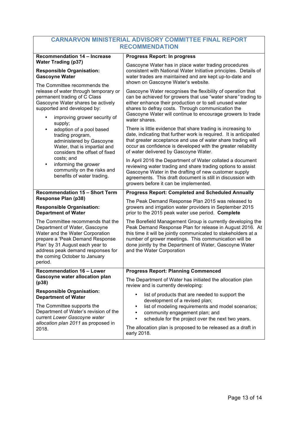| <b>CARNARVON MINISTERIAL ADVISORY COMMITTEE FINAL REPORT</b> |  |  |
|--------------------------------------------------------------|--|--|
| <b>RECOMMENDATION</b>                                        |  |  |

| Recommendation 14 - Increase                                                                                                                                                                                                                                             | <b>Progress Report: In progress</b>                                                                                                                                                                                                                                                                                                       |
|--------------------------------------------------------------------------------------------------------------------------------------------------------------------------------------------------------------------------------------------------------------------------|-------------------------------------------------------------------------------------------------------------------------------------------------------------------------------------------------------------------------------------------------------------------------------------------------------------------------------------------|
| <b>Water Trading (p37)</b><br><b>Responsible Organisation:</b><br><b>Gascoyne Water</b>                                                                                                                                                                                  | Gascoyne Water has in place water trading procedures<br>consistent with National Water Initiative principles. Details of<br>water trades are maintained and are kept up-to-date and<br>shown on Gascoyne Water's website.                                                                                                                 |
| The Committee recommends the<br>release of water through temporary or<br>permanent trading of C Class<br>Gascoyne Water shares be actively<br>supported and developed by:<br>improving grower security of                                                                | Gascoyne Water recognises the flexibility of operation that<br>can be achieved for growers that use "water share" trading to<br>either enhance their production or to sell unused water<br>shares to defray costs. Through communication the<br>Gascoyne Water will continue to encourage growers to trade<br>water shares.               |
| supply;<br>adoption of a pool based<br>$\bullet$<br>trading program,<br>administered by Gascoyne<br>Water, that is impartial and<br>considers the offset of fixed<br>costs; and<br>informing the grower<br>٠<br>community on the risks and<br>benefits of water trading. | There is little evidence that share trading is increasing to<br>date, indicating that further work is required. It is anticipated<br>that greater acceptance and use of water share trading will<br>occur as confidence is developed with the greater reliability<br>of water delivered by Gascoyne Water.                                |
|                                                                                                                                                                                                                                                                          | In April 2016 the Department of Water collated a document<br>reviewing water trading and share trading options to assist<br>Gascoyne Water in the drafting of new customer supply<br>agreements. This draft document is still in discussion with<br>growers before it can be implemented.                                                 |
| <b>Recommendation 15 - Short Term</b>                                                                                                                                                                                                                                    | <b>Progress Report: Completed and Scheduled Annually</b>                                                                                                                                                                                                                                                                                  |
| Response Plan (p38)<br><b>Responsible Organisation:</b><br><b>Department of Water</b>                                                                                                                                                                                    | The Peak Demand Response Plan 2015 was released to<br>growers and irrigation water providers in September 2015<br>prior to the 2015 peak water use period. Complete                                                                                                                                                                       |
| The Committee recommends that the<br>Department of Water, Gascoyne<br>Water and the Water Corporation<br>prepare a 'Peak Demand Response<br>Plan' by 31 August each year to<br>address peak demand responses for<br>the coming October to January<br>period.             | The Borefield Management Group is currently developing the<br>Peak Demand Response Plan for release in August 2016. At<br>this time it will be jointly communicated to stakeholders at a<br>number of grower meetings. This communication will be<br>done jointly by the Department of Water, Gascoyne Water<br>and the Water Corporation |
| <b>Recommendation 16 - Lower</b><br>Gascoyne water allocation plan<br>(p38)                                                                                                                                                                                              | <b>Progress Report: Planning Commenced</b>                                                                                                                                                                                                                                                                                                |
|                                                                                                                                                                                                                                                                          | The Department of Water has initiated the allocation plan<br>review and is currently developing:                                                                                                                                                                                                                                          |
| <b>Responsible Organisation:</b><br><b>Department of Water</b><br>The Committee supports the<br>Department of Water's revision of the<br>current Lower Gascoyne water<br>allocation plan 2011 as proposed in<br>2018.                                                    | list of products that are needed to support the<br>development of a revised plan;<br>list of modeling requirements and model scenarios;<br>$\bullet$<br>community engagement plan; and<br>٠<br>schedule for the project over the next two years.<br>The allocation plan is proposed to be released as a draft in<br>early 2018.           |